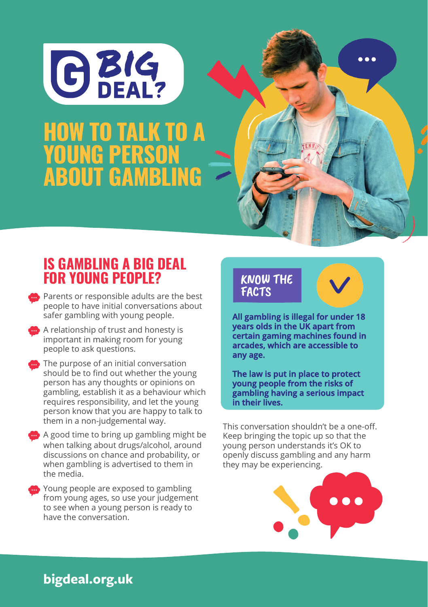

## **PROBLEM GAMBLING AND SEARCHES workshops for young people** HOW TO TALK TO A YOUNG PERSON ABOUT GAMBLING

## IS GAMBLING A BIG DEAL FOR YOUNG PEOPLE?

- **B** Parents or responsible adults are the best people to have initial conversations about safer gambling with young people.
- A relationship of trust and honesty is important in making room for young people to ask questions.
- **The purpose of an initial conversation** should be to find out whether the young person has any thoughts or opinions on gambling, establish it as a behaviour which requires responsibility, and let the young person know that you are happy to talk to them in a non-judgemental way.
- A good time to bring up gambling might be when talking about drugs/alcohol, around discussions on chance and probability, or when gambling is advertised to them in the media.
- **Conservance** Young people are exposed to gambling from young ages, so use your judgement to see when a young person is ready to have the conversation.

## KNOW THE FACTS

**All gambling is illegal for under 18 years olds in the UK apart from certain gaming machines found in arcades, which are accessible to any age.**

 $\bullet\bullet\bullet$ 

**The law is put in place to protect young people from the risks of gambling having a serious impact in their lives.**

This conversation shouldn't be a one-off. Keep bringing the topic up so that the young person understands it's OK to openly discuss gambling and any harm they may be experiencing.



## **bigdeal.org.uk**